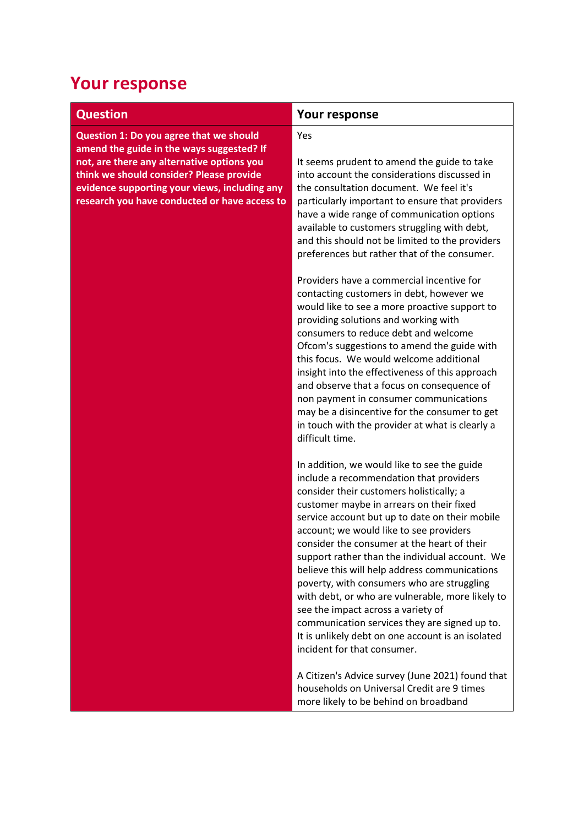## **Your response**

| <b>Question</b>                                                                                                                                                                                                                                                                  | Your response                                                                                                                                                                                                                                                                                                                                                                                                                                                                                                                                                                                                                                                                                              |
|----------------------------------------------------------------------------------------------------------------------------------------------------------------------------------------------------------------------------------------------------------------------------------|------------------------------------------------------------------------------------------------------------------------------------------------------------------------------------------------------------------------------------------------------------------------------------------------------------------------------------------------------------------------------------------------------------------------------------------------------------------------------------------------------------------------------------------------------------------------------------------------------------------------------------------------------------------------------------------------------------|
| Question 1: Do you agree that we should<br>amend the guide in the ways suggested? If<br>not, are there any alternative options you<br>think we should consider? Please provide<br>evidence supporting your views, including any<br>research you have conducted or have access to | Yes<br>It seems prudent to amend the guide to take<br>into account the considerations discussed in<br>the consultation document. We feel it's<br>particularly important to ensure that providers<br>have a wide range of communication options<br>available to customers struggling with debt,<br>and this should not be limited to the providers<br>preferences but rather that of the consumer.                                                                                                                                                                                                                                                                                                          |
|                                                                                                                                                                                                                                                                                  | Providers have a commercial incentive for<br>contacting customers in debt, however we<br>would like to see a more proactive support to<br>providing solutions and working with<br>consumers to reduce debt and welcome<br>Ofcom's suggestions to amend the guide with<br>this focus. We would welcome additional<br>insight into the effectiveness of this approach<br>and observe that a focus on consequence of<br>non payment in consumer communications<br>may be a disincentive for the consumer to get<br>in touch with the provider at what is clearly a<br>difficult time.                                                                                                                         |
|                                                                                                                                                                                                                                                                                  | In addition, we would like to see the guide<br>include a recommendation that providers<br>consider their customers holistically; a<br>customer maybe in arrears on their fixed<br>service account but up to date on their mobile<br>account; we would like to see providers<br>consider the consumer at the heart of their<br>support rather than the individual account. We<br>believe this will help address communications<br>poverty, with consumers who are struggling<br>with debt, or who are vulnerable, more likely to<br>see the impact across a variety of<br>communication services they are signed up to.<br>It is unlikely debt on one account is an isolated<br>incident for that consumer. |
|                                                                                                                                                                                                                                                                                  | A Citizen's Advice survey (June 2021) found that<br>households on Universal Credit are 9 times<br>more likely to be behind on broadband                                                                                                                                                                                                                                                                                                                                                                                                                                                                                                                                                                    |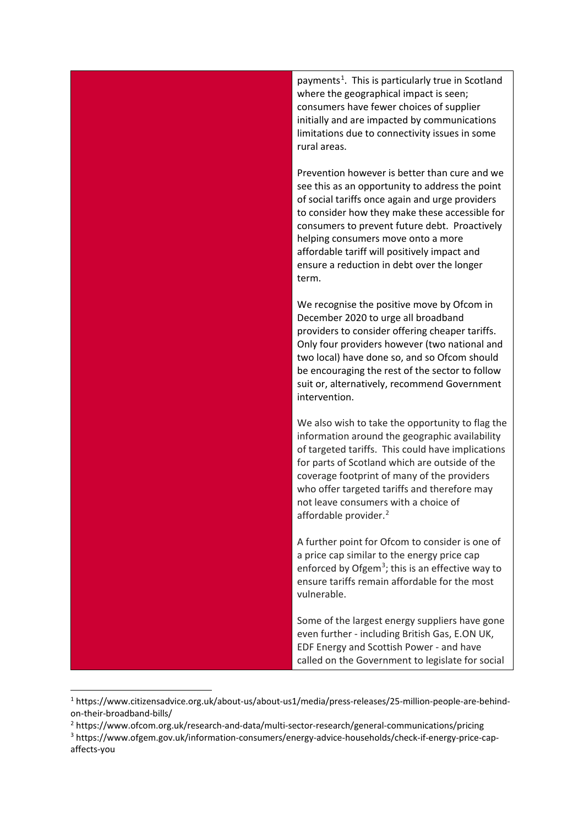

<sup>1</sup> https://www.citizensadvice.org.uk/about-us/about-us1/media/press-releases/25-million-people-are-behindon-their-broadband-bills/

<span id="page-1-2"></span><span id="page-1-1"></span><span id="page-1-0"></span><sup>2</sup> https://www.ofcom.org.uk/research-and-data/multi-sector-research/general-communications/pricing <sup>3</sup> https://www.ofgem.gov.uk/information-consumers/energy-advice-households/check-if-energy-price-capaffects-you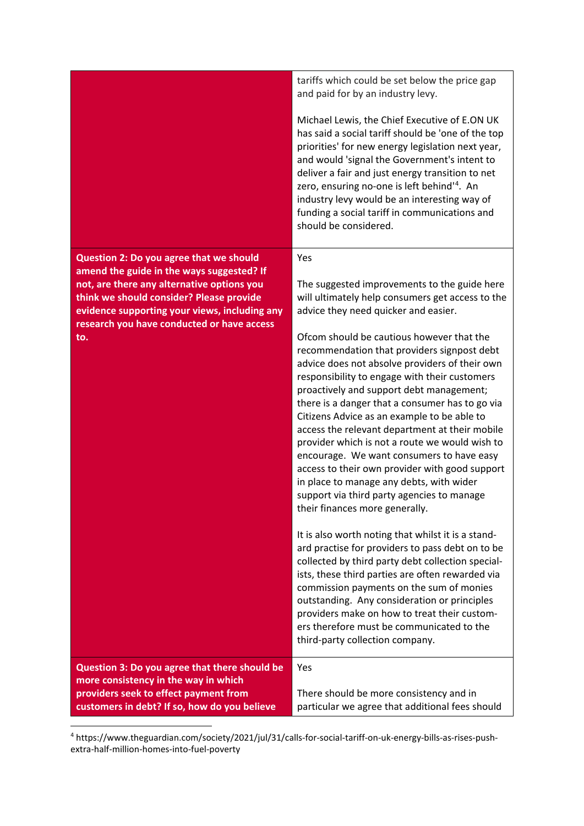|                                                                                                                                                                                                                                                                                      | tariffs which could be set below the price gap<br>and paid for by an industry levy.                                                                                                                                                                                                                                                                                                                                                                                                                                                                                                                                                                                                                                                                                                                                                                                                                                                                                                                                                                                                                                                                                                                                                     |
|--------------------------------------------------------------------------------------------------------------------------------------------------------------------------------------------------------------------------------------------------------------------------------------|-----------------------------------------------------------------------------------------------------------------------------------------------------------------------------------------------------------------------------------------------------------------------------------------------------------------------------------------------------------------------------------------------------------------------------------------------------------------------------------------------------------------------------------------------------------------------------------------------------------------------------------------------------------------------------------------------------------------------------------------------------------------------------------------------------------------------------------------------------------------------------------------------------------------------------------------------------------------------------------------------------------------------------------------------------------------------------------------------------------------------------------------------------------------------------------------------------------------------------------------|
|                                                                                                                                                                                                                                                                                      | Michael Lewis, the Chief Executive of E.ON UK<br>has said a social tariff should be 'one of the top<br>priorities' for new energy legislation next year,<br>and would 'signal the Government's intent to<br>deliver a fair and just energy transition to net<br>zero, ensuring no-one is left behind <sup>14</sup> . An<br>industry levy would be an interesting way of<br>funding a social tariff in communications and<br>should be considered.                                                                                                                                                                                                                                                                                                                                                                                                                                                                                                                                                                                                                                                                                                                                                                                       |
| Question 2: Do you agree that we should<br>amend the guide in the ways suggested? If<br>not, are there any alternative options you<br>think we should consider? Please provide<br>evidence supporting your views, including any<br>research you have conducted or have access<br>to. | Yes<br>The suggested improvements to the guide here<br>will ultimately help consumers get access to the<br>advice they need quicker and easier.<br>Ofcom should be cautious however that the<br>recommendation that providers signpost debt<br>advice does not absolve providers of their own<br>responsibility to engage with their customers<br>proactively and support debt management;<br>there is a danger that a consumer has to go via<br>Citizens Advice as an example to be able to<br>access the relevant department at their mobile<br>provider which is not a route we would wish to<br>encourage. We want consumers to have easy<br>access to their own provider with good support<br>in place to manage any debts, with wider<br>support via third party agencies to manage<br>their finances more generally.<br>It is also worth noting that whilst it is a stand-<br>ard practise for providers to pass debt on to be<br>collected by third party debt collection special-<br>ists, these third parties are often rewarded via<br>commission payments on the sum of monies<br>outstanding. Any consideration or principles<br>providers make on how to treat their custom-<br>ers therefore must be communicated to the |
|                                                                                                                                                                                                                                                                                      | third-party collection company.                                                                                                                                                                                                                                                                                                                                                                                                                                                                                                                                                                                                                                                                                                                                                                                                                                                                                                                                                                                                                                                                                                                                                                                                         |
| Question 3: Do you agree that there should be<br>more consistency in the way in which<br>providers seek to effect payment from<br>customers in debt? If so, how do you believe                                                                                                       | Yes<br>There should be more consistency and in<br>particular we agree that additional fees should                                                                                                                                                                                                                                                                                                                                                                                                                                                                                                                                                                                                                                                                                                                                                                                                                                                                                                                                                                                                                                                                                                                                       |

<span id="page-2-0"></span><sup>4</sup> https://www.theguardian.com/society/2021/jul/31/calls-for-social-tariff-on-uk-energy-bills-as-rises-pushextra-half-million-homes-into-fuel-poverty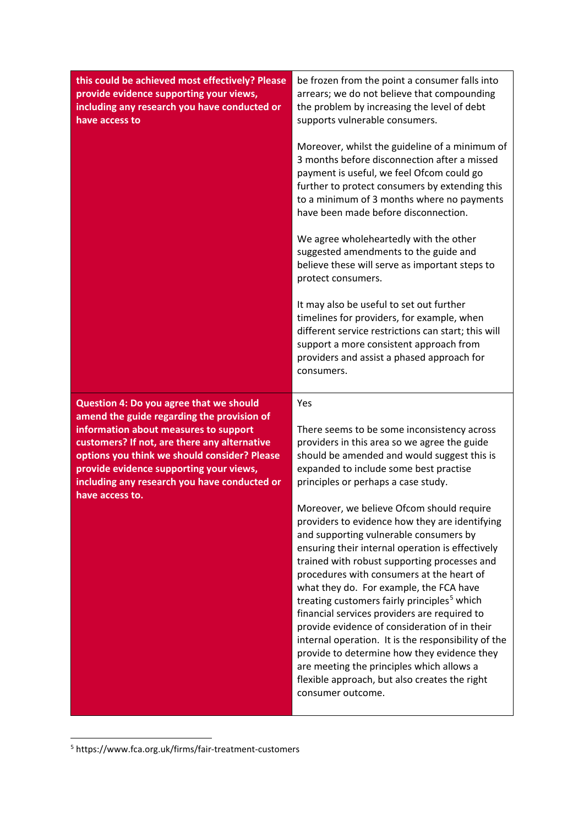| this could be achieved most effectively? Please<br>provide evidence supporting your views,<br>including any research you have conducted or<br>have access to | be frozen from the point a consumer falls into<br>arrears; we do not believe that compounding<br>the problem by increasing the level of debt<br>supports vulnerable consumers.                                                                                                      |
|--------------------------------------------------------------------------------------------------------------------------------------------------------------|-------------------------------------------------------------------------------------------------------------------------------------------------------------------------------------------------------------------------------------------------------------------------------------|
|                                                                                                                                                              | Moreover, whilst the guideline of a minimum of<br>3 months before disconnection after a missed<br>payment is useful, we feel Ofcom could go<br>further to protect consumers by extending this<br>to a minimum of 3 months where no payments<br>have been made before disconnection. |
|                                                                                                                                                              | We agree wholeheartedly with the other<br>suggested amendments to the guide and<br>believe these will serve as important steps to<br>protect consumers.                                                                                                                             |
|                                                                                                                                                              | It may also be useful to set out further<br>timelines for providers, for example, when<br>different service restrictions can start; this will<br>support a more consistent approach from<br>providers and assist a phased approach for<br>consumers.                                |
| Question 4: Do you agree that we should                                                                                                                      | Yes                                                                                                                                                                                                                                                                                 |
|                                                                                                                                                              |                                                                                                                                                                                                                                                                                     |
| amend the guide regarding the provision of                                                                                                                   |                                                                                                                                                                                                                                                                                     |
| information about measures to support                                                                                                                        | There seems to be some inconsistency across                                                                                                                                                                                                                                         |
| customers? If not, are there any alternative                                                                                                                 | providers in this area so we agree the guide                                                                                                                                                                                                                                        |
| options you think we should consider? Please<br>provide evidence supporting your views,                                                                      | should be amended and would suggest this is<br>expanded to include some best practise                                                                                                                                                                                               |
| including any research you have conducted or<br>have access to.                                                                                              | principles or perhaps a case study.                                                                                                                                                                                                                                                 |

<span id="page-3-0"></span><sup>5</sup> https://www.fca.org.uk/firms/fair-treatment-customers